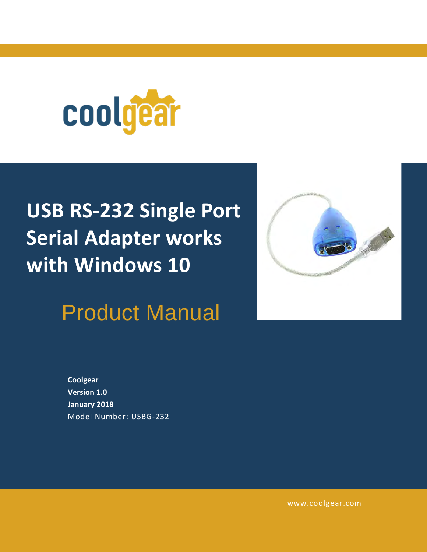

# **USB RS-232 Single Port Serial Adapter works with Windows 10**

Product Manual



**Coolgear Version 1.0 January 2018** Model Number: [USBG-232](https://www.coolgear.com/product/usb-rs-232-single-port-serial-adapter-works-with-all-windows-and-mac)

[www.coolgear.com](https://www.coolgear.com/)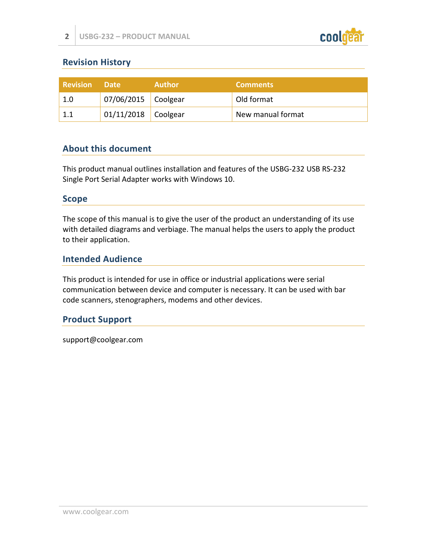

## **Revision History**

| <b>Revision</b> | <b>Date</b>           | <b>Author</b> | <b>Comments</b>   |
|-----------------|-----------------------|---------------|-------------------|
| 1.0             | $07/06/2015$ Coolgear |               | Old format        |
|                 | $01/11/2018$ Coolgear |               | New manual format |

#### **About this document**

This product manual outlines installation and features of the USBG-232 USB RS-232 Single Port Serial Adapter works with Windows 10.

#### **Scope**

The scope of this manual is to give the user of the product an understanding of its use with detailed diagrams and verbiage. The manual helps the users to apply the product to their application.

#### **Intended Audience**

This product is intended for use in office or industrial applications were serial communication between device and computer is necessary. It can be used with bar code scanners, stenographers, modems and other devices.

#### **Product Support**

support@coolgear.com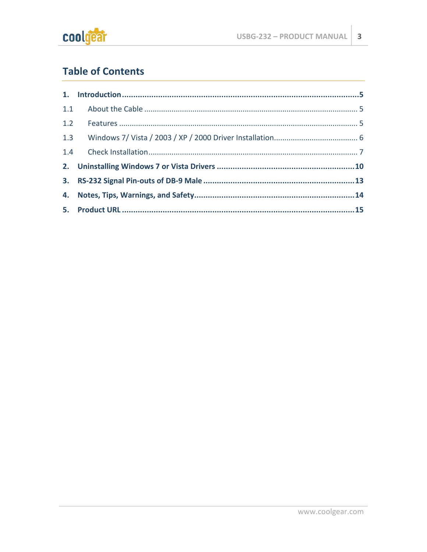

# **Table of Contents**

| 1.2 |  |
|-----|--|
| 1.3 |  |
|     |  |
|     |  |
|     |  |
|     |  |
|     |  |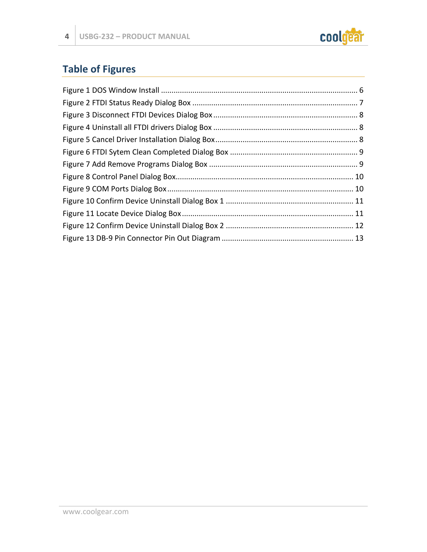

# **Table of Figures**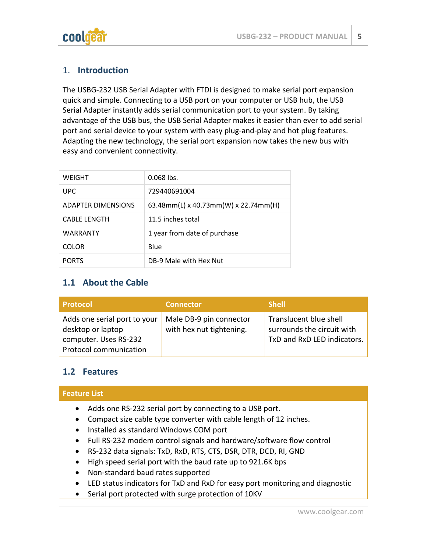

#### <span id="page-4-0"></span>1. **Introduction**

The USBG-232 USB Serial Adapter with FTDI is designed to make serial port expansion quick and simple. Connecting to a USB port on your computer or USB hub, the USB Serial Adapter instantly adds serial communication port to your system. By taking advantage of the USB bus, the USB Serial Adapter makes it easier than ever to add serial port and serial device to your system with easy plug-and-play and hot plug features. Adapting the new technology, the serial port expansion now takes the new bus with easy and convenient connectivity.

| WEIGHT                    | $0.068$ lbs.                         |
|---------------------------|--------------------------------------|
| UPC.                      | 729440691004                         |
| <b>ADAPTER DIMENSIONS</b> | 63.48mm(L) x 40.73mm(W) x 22.74mm(H) |
| <b>CABLE LENGTH</b>       | 11.5 inches total                    |
| <b>WARRANTY</b>           | 1 year from date of purchase         |
| <b>COLOR</b>              | Blue                                 |
| <b>PORTS</b>              | DB-9 Male with Hex Nut               |

## <span id="page-4-1"></span>**1.1 About the Cable**

| <b>Protocol</b>                                                                                      | <b>Connector</b>                                    | <b>Shell</b>                                                                        |
|------------------------------------------------------------------------------------------------------|-----------------------------------------------------|-------------------------------------------------------------------------------------|
| Adds one serial port to your<br>desktop or laptop<br>computer. Uses RS-232<br>Protocol communication | Male DB-9 pin connector<br>with hex nut tightening. | Translucent blue shell<br>surrounds the circuit with<br>TxD and RxD LED indicators. |

#### <span id="page-4-2"></span>**1.2 Features**

| <b>Feature List</b>                                      |  |
|----------------------------------------------------------|--|
| Adds one RS-232 serial port by connecting to a USB port. |  |

- Compact size cable type converter with cable length of 12 inches.
- Installed as standard Windows COM port
- Full RS-232 modem control signals and hardware/software flow control
- RS-232 data signals: TxD, RxD, RTS, CTS, DSR, DTR, DCD, RI, GND
- High speed serial port with the baud rate up to 921.6K bps
- Non-standard baud rates supported
- LED status indicators for TxD and RxD for easy port monitoring and diagnostic
- Serial port protected with surge protection of 10KV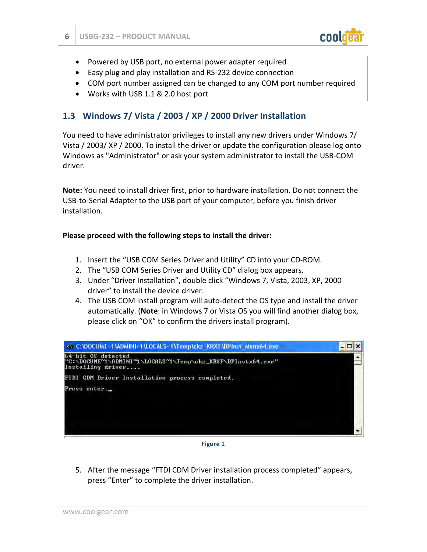

- Powered by USB port, no external power adapter required
- Easy plug and play installation and RS-232 device connection
- COM port number assigned can be changed to any COM port number required
- Works with USB 1.1 & 2.0 host port

## <span id="page-5-0"></span>**1.3 Windows 7/ Vista / 2003 / XP / 2000 Driver Installation**

You need to have administrator privileges to install any new drivers under Windows 7/ Vista / 2003/ XP / 2000. To install the driver or update the configuration please log onto Windows as "Administrator" or ask your system administrator to install the USB-COM driver.

**Note:** You need to install driver first, prior to hardware installation. Do not connect the USB-to-Serial Adapter to the USB port of your computer, before you finish driver installation.

#### **Please proceed with the following steps to install the driver:**

- 1. Insert the "USB COM Series Driver and Utility" CD into your CD-ROM.
- 2. The "USB COM Series Driver and Utility CD" dialog box appears.
- 3. Under "Driver Installation", double click "Windows 7, Vista, 2003, XP, 2000 driver" to install the device driver.
- 4. The USB COM install program will auto-detect the OS type and install the driver automatically. (**Note**: in Windows 7 or Vista OS you will find another dialog box, please click on "OK" to confirm the drivers install program).



**Figure 1** 

<span id="page-5-1"></span>5. After the message "FTDI CDM Driver installation process completed" appears, press "Enter" to complete the driver installation.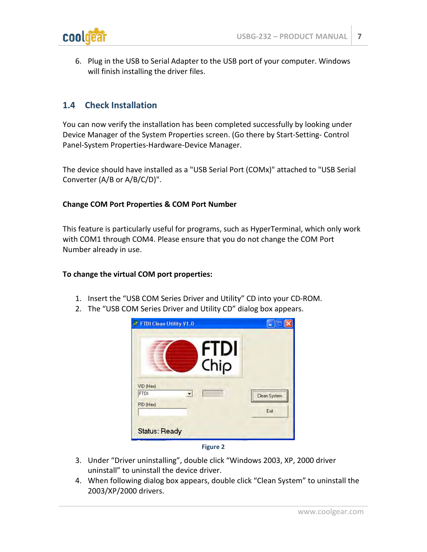

6. Plug in the USB to Serial Adapter to the USB port of your computer. Windows will finish installing the driver files.

#### <span id="page-6-0"></span>**1.4 Check Installation**

You can now verify the installation has been completed successfully by looking under Device Manager of the System Properties screen. (Go there by Start-Setting- Control Panel-System Properties-Hardware-Device Manager.

The device should have installed as a "USB Serial Port (COMx)" attached to "USB Serial Converter (A/B or A/B/C/D)".

#### **Change COM Port Properties & COM Port Number**

This feature is particularly useful for programs, such as HyperTerminal, which only work with COM1 through COM4. Please ensure that you do not change the COM Port Number already in use.

#### **To change the virtual COM port properties:**

- 1. Insert the "USB COM Series Driver and Utility" CD into your CD-ROM.
- 2. The "USB COM Series Driver and Utility CD" dialog box appears.

| FTDI Clean Utility V1.0               |                  |
|---------------------------------------|------------------|
| <b>FTDI</b><br>Chip                   |                  |
| VID (Hex)<br><b>FTDI</b><br>PID (Hex) | <br>Clean System |
| <b>Status: Ready</b>                  | Exit             |



- <span id="page-6-1"></span>3. Under "Driver uninstalling", double click "Windows 2003, XP, 2000 driver uninstall" to uninstall the device driver.
- 4. When following dialog box appears, double click "Clean System" to uninstall the 2003/XP/2000 drivers.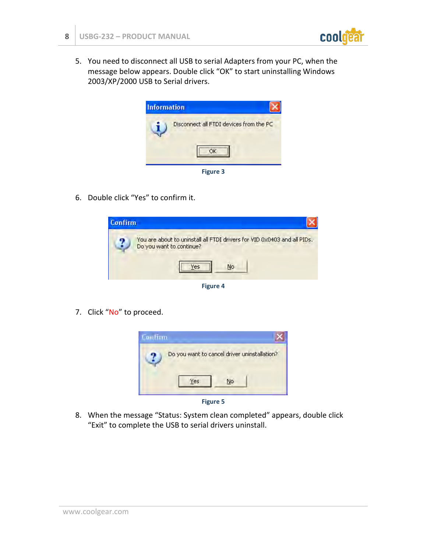

5. You need to disconnect all USB to serial Adapters from your PC, when the message below appears. Double click "OK" to start uninstalling Windows 2003/XP/2000 USB to Serial drivers.



<span id="page-7-0"></span>6. Double click "Yes" to confirm it.



**Figure 4** 

<span id="page-7-1"></span>7. Click "No" to proceed.



**Figure 5** 

<span id="page-7-2"></span>8. When the message "Status: System clean completed" appears, double click "Exit" to complete the USB to serial drivers uninstall.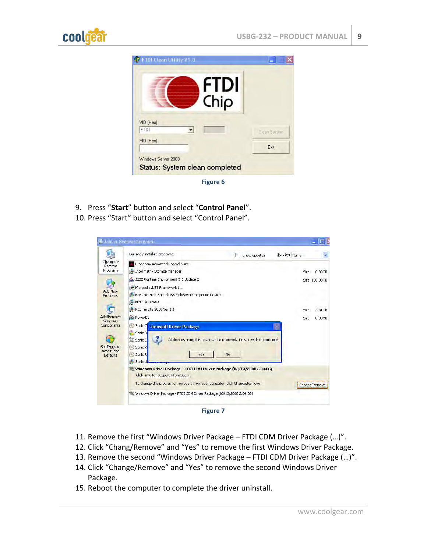



**Figure 6** 

- <span id="page-8-0"></span>9. Press "**Start**" button and select "**Control Panel**".
- 10. Press "Start" button and select "Control Panel".

|                                              | Currently installed programs:                                                                                |    | Show updates | Sort by: Name |             |                         |
|----------------------------------------------|--------------------------------------------------------------------------------------------------------------|----|--------------|---------------|-------------|-------------------------|
| Change or<br>Remove<br>Programs              | Broadcom Advanced Control Suite<br>Intel Matrix Storage Manager                                              |    |              |               |             |                         |
|                                              | J2SE Runtime Environment 5.0 Update 2                                                                        |    |              |               | <b>Size</b> | 0.89MB<br>Size 150.00MB |
|                                              | Microsoft .NET Framework 1.1                                                                                 |    |              |               |             |                         |
| <b>Add New</b><br>Programs                   | MosChip High-Speed USB MultiSerial Compound Device                                                           |    |              |               |             |                         |
|                                              | NVIDIA Drivers                                                                                               |    |              |               |             |                         |
|                                              | PComm Lite 2000 Ver 1.1                                                                                      |    |              |               | Size        | 2.31MB                  |
| Add/Remove<br><b>Windows</b>                 | <b>PowerD</b>                                                                                                |    |              |               | Size        | 0.89MB                  |
| Components                                   | 6<br>Sonic C<br><b>Uninstall Driver Package</b>                                                              |    |              |               |             |                         |
|                                              | Sonic DI                                                                                                     |    |              |               |             |                         |
|                                              | Sonic Ex<br>All devices using this driver will be removed. Do you wish to continue?                          |    |              |               |             |                         |
| Set Program<br>Access and<br><b>Defaults</b> | Sonic R                                                                                                      |    |              |               |             |                         |
|                                              | Sonic R<br>Yes<br>63                                                                                         | No |              |               |             |                         |
|                                              | Sonic U                                                                                                      |    |              |               |             |                         |
|                                              | Windows Driver Package - FTDI CDM Driver Package (03/13/2008 2.04.06)<br>Click here for support information. |    |              |               |             |                         |
|                                              | To change this program or remove it from your computer, click Change/Remove.                                 |    |              |               |             | Change/Remove           |
|                                              | Windows Driver Package - FTDI CDM Driver Package (03/13/2008 2.04.06)                                        |    |              |               |             |                         |

**Figure 7** 

- <span id="page-8-1"></span>11. Remove the first "Windows Driver Package – FTDI CDM Driver Package (…)".
- 12. Click "Chang/Remove" and "Yes" to remove the first Windows Driver Package.
- 13. Remove the second "Windows Driver Package FTDI CDM Driver Package (…)".
- 14. Click "Change/Remove" and "Yes" to remove the second Windows Driver Package.
- 15. Reboot the computer to complete the driver uninstall.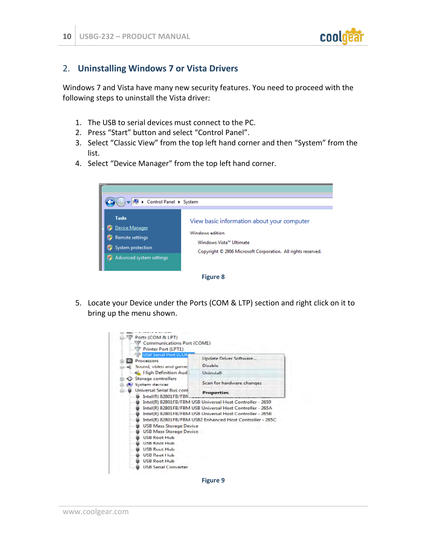

#### <span id="page-9-0"></span>2. **Uninstalling Windows 7 or Vista Drivers**

Windows 7 and Vista have many new security features. You need to proceed with the following steps to uninstall the Vista driver:

- 1. The USB to serial devices must connect to the PC.
- 2. Press "Start" button and select "Control Panel".
- 3. Select "Classic View" from the top left hand corner and then "System" from the list.
- 4. Select "Device Manager" from the top left hand corner.



<span id="page-9-1"></span>5. Locate your Device under the Ports (COM & LTP) section and right click on it to bring up the menu shown.



<span id="page-9-2"></span>**Figure 9**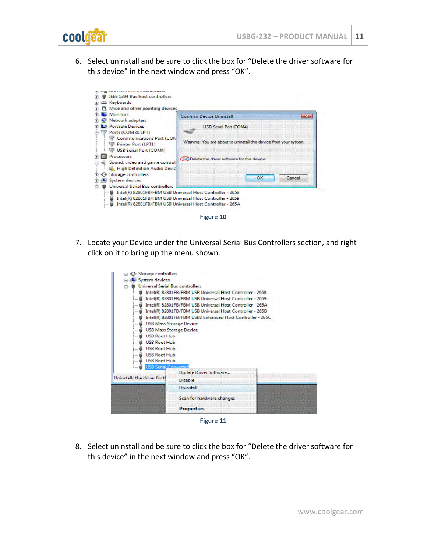

6. Select uninstall and be sure to click the box for "Delete the driver software for this device" in the next window and press "OK".



<span id="page-10-0"></span>7. Locate your Device under the Universal Serial Bus Controllers section, and right click on it to bring up the menu shown.



**Figure 11**

<span id="page-10-1"></span>8. Select uninstall and be sure to click the box for "Delete the driver software for this device" in the next window and press "OK".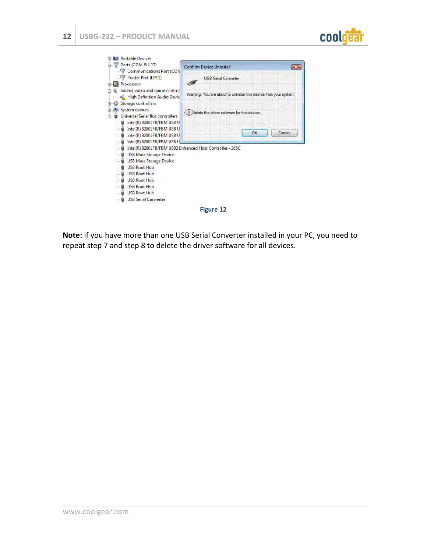





<span id="page-11-0"></span>**Note:** if you have more than one USB Serial Converter installed in your PC, you need to repeat step 7 and step 8 to delete the driver software for all devices.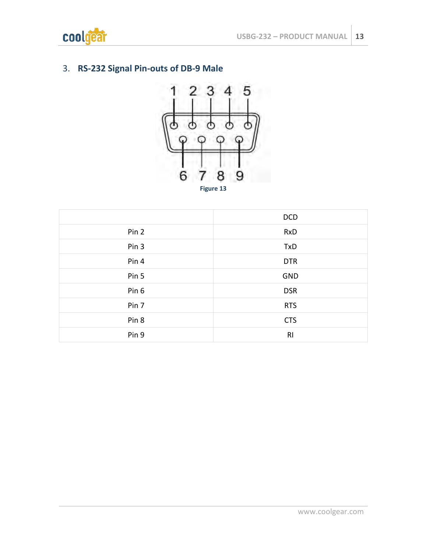

# <span id="page-12-0"></span>3. **RS-232 Signal Pin-outs of DB-9 Male**



<span id="page-12-1"></span>

|       | <b>DCD</b>     |
|-------|----------------|
| Pin 2 | <b>RxD</b>     |
| Pin 3 | TxD            |
| Pin 4 | <b>DTR</b>     |
| Pin 5 | GND            |
| Pin 6 | <b>DSR</b>     |
| Pin 7 | <b>RTS</b>     |
| Pin 8 | <b>CTS</b>     |
| Pin 9 | R <sub>l</sub> |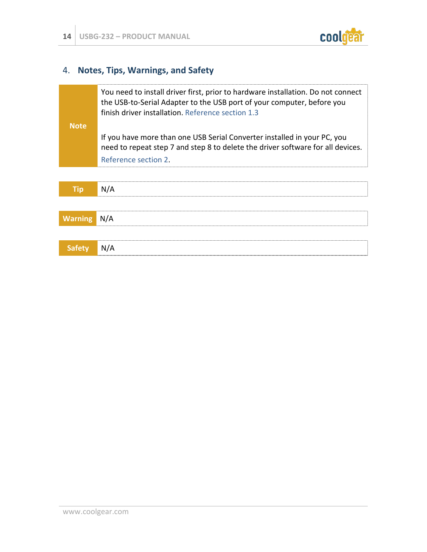

# <span id="page-13-0"></span>4. **Notes, Tips, Warnings, and Safety**

|                | You need to install driver first, prior to hardware installation. Do not connect<br>the USB-to-Serial Adapter to the USB port of your computer, before you<br>finish driver installation. Reference section 1.3 |
|----------------|-----------------------------------------------------------------------------------------------------------------------------------------------------------------------------------------------------------------|
| <b>Note</b>    |                                                                                                                                                                                                                 |
|                | If you have more than one USB Serial Converter installed in your PC, you<br>need to repeat step 7 and step 8 to delete the driver software for all devices.                                                     |
|                | Reference section 2.                                                                                                                                                                                            |
|                |                                                                                                                                                                                                                 |
| <b>Tip</b>     | N/A                                                                                                                                                                                                             |
|                |                                                                                                                                                                                                                 |
| <b>Warning</b> | N/A                                                                                                                                                                                                             |
|                |                                                                                                                                                                                                                 |
| <b>Safety</b>  | N/A                                                                                                                                                                                                             |
|                |                                                                                                                                                                                                                 |